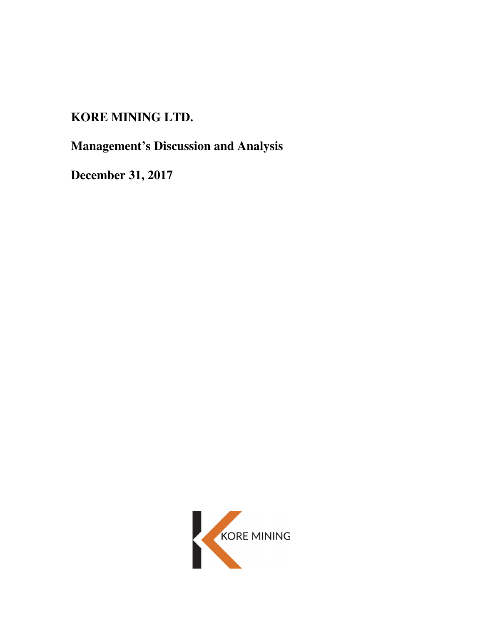# **KORE MINING LTD.**

**Management's Discussion and Analysis** 

**December 31, 2017** 

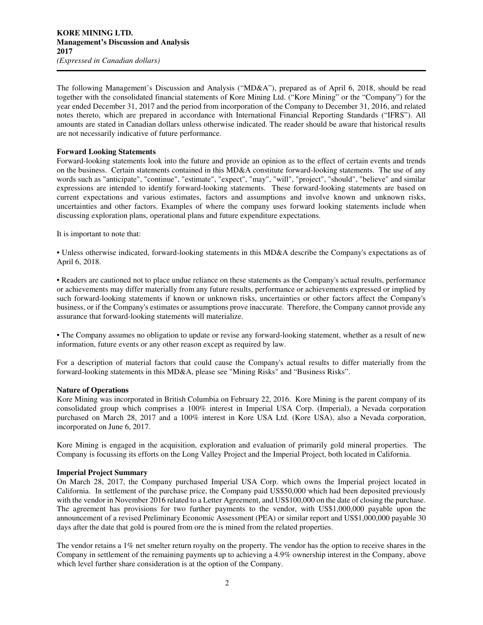The following Management's Discussion and Analysis ("MD&A"), prepared as of April 6, 2018, should be read together with the consolidated financial statements of Kore Mining Ltd. ("Kore Mining" or the "Company") for the year ended December 31, 2017 and the period from incorporation of the Company to December 31, 2016, and related notes thereto, which are prepared in accordance with International Financial Reporting Standards ("IFRS"). All amounts are stated in Canadian dollars unless otherwise indicated. The reader should be aware that historical results are not necessarily indicative of future performance.

## **Forward Looking Statements**

Forward-looking statements look into the future and provide an opinion as to the effect of certain events and trends on the business. Certain statements contained in this MD&A constitute forward-looking statements. The use of any words such as "anticipate", "continue", "estimate", "expect", "may", "will", "project", "should", "believe" and similar expressions are intended to identify forward-looking statements. These forward-looking statements are based on current expectations and various estimates, factors and assumptions and involve known and unknown risks, uncertainties and other factors. Examples of where the company uses forward looking statements include when discussing exploration plans, operational plans and future expenditure expectations.

It is important to note that:

• Unless otherwise indicated, forward-looking statements in this MD&A describe the Company's expectations as of April 6, 2018.

• Readers are cautioned not to place undue reliance on these statements as the Company's actual results, performance or achievements may differ materially from any future results, performance or achievements expressed or implied by such forward-looking statements if known or unknown risks, uncertainties or other factors affect the Company's business, or if the Company's estimates or assumptions prove inaccurate. Therefore, the Company cannot provide any assurance that forward-looking statements will materialize.

• The Company assumes no obligation to update or revise any forward-looking statement, whether as a result of new information, future events or any other reason except as required by law.

For a description of material factors that could cause the Company's actual results to differ materially from the forward-looking statements in this MD&A, please see "Mining Risks" and "Business Risks".

## **Nature of Operations**

Kore Mining was incorporated in British Columbia on February 22, 2016. Kore Mining is the parent company of its consolidated group which comprises a 100% interest in Imperial USA Corp. (Imperial), a Nevada corporation purchased on March 28, 2017 and a 100% interest in Kore USA Ltd. (Kore USA), also a Nevada corporation, incorporated on June 6, 2017.

Kore Mining is engaged in the acquisition, exploration and evaluation of primarily gold mineral properties. The Company is focussing its efforts on the Long Valley Project and the Imperial Project, both located in California.

#### **Imperial Project Summary**

On March 28, 2017, the Company purchased Imperial USA Corp. which owns the Imperial project located in California. In settlement of the purchase price, the Company paid US\$50,000 which had been deposited previously with the vendor in November 2016 related to a Letter Agreement, and US\$100,000 on the date of closing the purchase. The agreement has provisions for two further payments to the vendor, with US\$1,000,000 payable upon the announcement of a revised Preliminary Economic Assessment (PEA) or similar report and US\$1,000,000 payable 30 days after the date that gold is poured from ore the is mined from the related properties.

The vendor retains a 1% net smelter return royalty on the property. The vendor has the option to receive shares in the Company in settlement of the remaining payments up to achieving a 4.9% ownership interest in the Company, above which level further share consideration is at the option of the Company.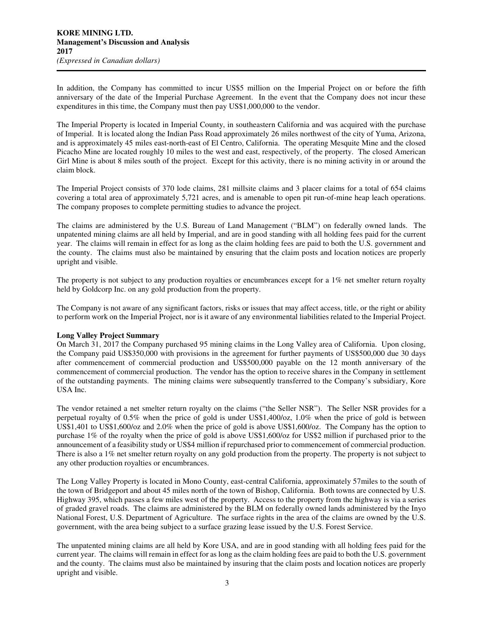In addition, the Company has committed to incur US\$5 million on the Imperial Project on or before the fifth anniversary of the date of the Imperial Purchase Agreement. In the event that the Company does not incur these expenditures in this time, the Company must then pay US\$1,000,000 to the vendor.

The Imperial Property is located in Imperial County, in southeastern California and was acquired with the purchase of Imperial. It is located along the Indian Pass Road approximately 26 miles northwest of the city of Yuma, Arizona, and is approximately 45 miles east-north-east of El Centro, California. The operating Mesquite Mine and the closed Picacho Mine are located roughly 10 miles to the west and east, respectively, of the property. The closed American Girl Mine is about 8 miles south of the project. Except for this activity, there is no mining activity in or around the claim block.

The Imperial Project consists of 370 lode claims, 281 millsite claims and 3 placer claims for a total of 654 claims covering a total area of approximately 5,721 acres, and is amenable to open pit run-of-mine heap leach operations. The company proposes to complete permitting studies to advance the project.

The claims are administered by the U.S. Bureau of Land Management ("BLM") on federally owned lands. The unpatented mining claims are all held by Imperial, and are in good standing with all holding fees paid for the current year. The claims will remain in effect for as long as the claim holding fees are paid to both the U.S. government and the county. The claims must also be maintained by ensuring that the claim posts and location notices are properly upright and visible.

The property is not subject to any production royalties or encumbrances except for a 1% net smelter return royalty held by Goldcorp Inc. on any gold production from the property.

The Company is not aware of any significant factors, risks or issues that may affect access, title, or the right or ability to perform work on the Imperial Project, nor is it aware of any environmental liabilities related to the Imperial Project.

#### **Long Valley Project Summary**

On March 31, 2017 the Company purchased 95 mining claims in the Long Valley area of California. Upon closing, the Company paid US\$350,000 with provisions in the agreement for further payments of US\$500,000 due 30 days after commencement of commercial production and US\$500,000 payable on the 12 month anniversary of the commencement of commercial production. The vendor has the option to receive shares in the Company in settlement of the outstanding payments. The mining claims were subsequently transferred to the Company's subsidiary, Kore USA Inc.

The vendor retained a net smelter return royalty on the claims ("the Seller NSR"). The Seller NSR provides for a perpetual royalty of 0.5% when the price of gold is under US\$1,400/oz, 1.0% when the price of gold is between US\$1,401 to US\$1,600/oz and 2.0% when the price of gold is above US\$1,600/oz. The Company has the option to purchase 1% of the royalty when the price of gold is above US\$1,600/oz for US\$2 million if purchased prior to the announcement of a feasibility study or US\$4 million if repurchased prior to commencement of commercial production. There is also a 1% net smelter return royalty on any gold production from the property. The property is not subject to any other production royalties or encumbrances.

The Long Valley Property is located in Mono County, east-central California, approximately 57miles to the south of the town of Bridgeport and about 45 miles north of the town of Bishop, California. Both towns are connected by U.S. Highway 395, which passes a few miles west of the property. Access to the property from the highway is via a series of graded gravel roads. The claims are administered by the BLM on federally owned lands administered by the Inyo National Forest, U.S. Department of Agriculture. The surface rights in the area of the claims are owned by the U.S. government, with the area being subject to a surface grazing lease issued by the U.S. Forest Service.

The unpatented mining claims are all held by Kore USA, and are in good standing with all holding fees paid for the current year. The claims will remain in effect for as long as the claim holding fees are paid to both the U.S. government and the county. The claims must also be maintained by insuring that the claim posts and location notices are properly upright and visible.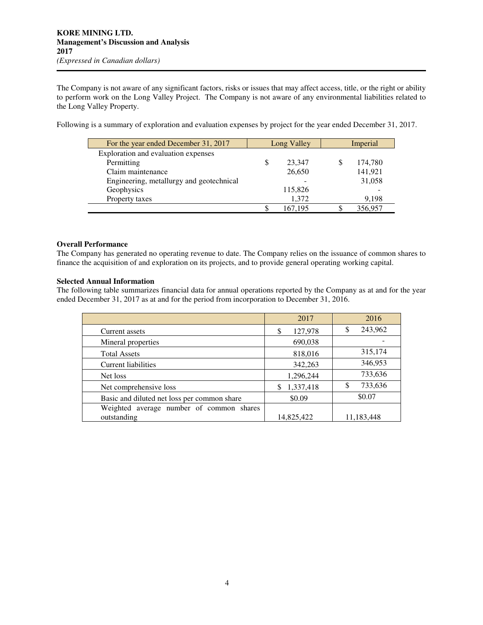The Company is not aware of any significant factors, risks or issues that may affect access, title, or the right or ability to perform work on the Long Valley Project. The Company is not aware of any environmental liabilities related to the Long Valley Property.

Following is a summary of exploration and evaluation expenses by project for the year ended December 31, 2017.

| For the year ended December 31, 2017     | Long Valley |         | Imperial |
|------------------------------------------|-------------|---------|----------|
| Exploration and evaluation expenses      |             |         |          |
| Permitting                               |             | 23,347  | 174,780  |
| Claim maintenance                        |             | 26,650  | 141,921  |
| Engineering, metallurgy and geotechnical |             |         | 31,058   |
| Geophysics                               |             | 115,826 |          |
| Property taxes                           |             | 1,372   | 9,198    |
|                                          |             | 167.195 | 356,957  |

## **Overall Performance**

The Company has generated no operating revenue to date. The Company relies on the issuance of common shares to finance the acquisition of and exploration on its projects, and to provide general operating working capital.

# **Selected Annual Information**

The following table summarizes financial data for annual operations reported by the Company as at and for the year ended December 31, 2017 as at and for the period from incorporation to December 31, 2016.

|                                             | 2017           | 2016          |
|---------------------------------------------|----------------|---------------|
| Current assets                              | 127,978<br>S   | 243,962<br>\$ |
| Mineral properties                          | 690,038        |               |
| <b>Total Assets</b>                         | 818,016        | 315,174       |
| Current liabilities                         | 342,263        | 346,953       |
| Net loss                                    | 1,296,244      | 733,636       |
| Net comprehensive loss                      | 1,337,418<br>S | 733,636<br>\$ |
| Basic and diluted net loss per common share | \$0.09         | \$0.07        |
| Weighted average number of common shares    |                |               |
| outstanding                                 | 14,825,422     | 11,183,448    |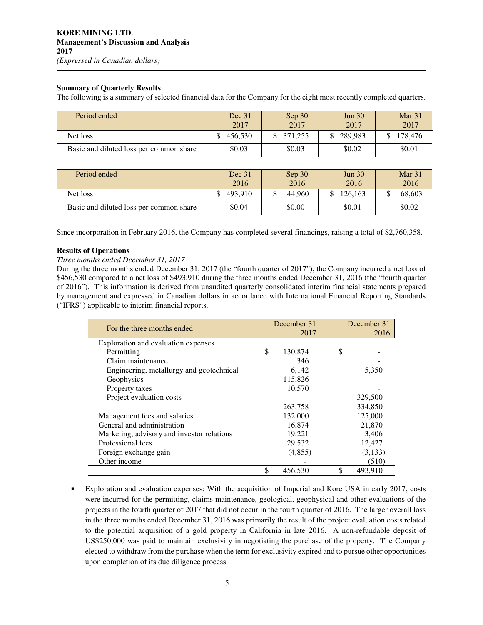## **Summary of Quarterly Results**

The following is a summary of selected financial data for the Company for the eight most recently completed quarters.

| Period ended                            | Dec 31<br>2017 | Sep 30<br>2017 | Jun 30<br>2017 | Mar <sub>31</sub><br>2017 |
|-----------------------------------------|----------------|----------------|----------------|---------------------------|
| Net loss                                | 456,530        | 371.255        | 289,983        | 178.476                   |
| Basic and diluted loss per common share | \$0.03         | \$0.03         | \$0.02         | \$0.01                    |

| Period ended                            | Dec 31<br>2016 | Sep 30<br>2016 | Jun $30l$<br>2016 | Mar $31$<br>2016 |
|-----------------------------------------|----------------|----------------|-------------------|------------------|
| Net loss                                | 493.910        | 44,960         | 126,163           | 68,603           |
| Basic and diluted loss per common share | \$0.04         | \$0.00         | \$0.01            | \$0.02           |

Since incorporation in February 2016, the Company has completed several financings, raising a total of \$2,760,358.

#### **Results of Operations**

#### *Three months ended December 31, 2017*

During the three months ended December 31, 2017 (the "fourth quarter of 2017"), the Company incurred a net loss of \$456,530 compared to a net loss of \$493,910 during the three months ended December 31, 2016 (the "fourth quarter of 2016"). This information is derived from unaudited quarterly consolidated interim financial statements prepared by management and expressed in Canadian dollars in accordance with International Financial Reporting Standards ("IFRS") applicable to interim financial reports.

| For the three months ended                 | December 31   |      | December 31 |  |
|--------------------------------------------|---------------|------|-------------|--|
|                                            |               | 2017 | 2016        |  |
| Exploration and evaluation expenses        |               |      |             |  |
| Permitting                                 | \$<br>130,874 | \$   |             |  |
| Claim maintenance                          | 346           |      |             |  |
| Engineering, metallurgy and geotechnical   | 6.142         |      | 5,350       |  |
| Geophysics                                 | 115,826       |      |             |  |
| Property taxes                             | 10,570        |      |             |  |
| Project evaluation costs                   |               |      | 329,500     |  |
|                                            | 263,758       |      | 334,850     |  |
| Management fees and salaries               | 132,000       |      | 125,000     |  |
| General and administration                 | 16,874        |      | 21,870      |  |
| Marketing, advisory and investor relations | 19,221        |      | 3,406       |  |
| Professional fees                          | 29,532        |      | 12,427      |  |
| Foreign exchange gain                      | (4,855)       |      | (3, 133)    |  |
| Other income                               |               |      | (510)       |  |
|                                            | \$<br>456,530 | \$   | 493,910     |  |

 Exploration and evaluation expenses: With the acquisition of Imperial and Kore USA in early 2017, costs were incurred for the permitting, claims maintenance, geological, geophysical and other evaluations of the projects in the fourth quarter of 2017 that did not occur in the fourth quarter of 2016. The larger overall loss in the three months ended December 31, 2016 was primarily the result of the project evaluation costs related to the potential acquisition of a gold property in California in late 2016. A non-refundable deposit of US\$250,000 was paid to maintain exclusivity in negotiating the purchase of the property. The Company elected to withdraw from the purchase when the term for exclusivity expired and to pursue other opportunities upon completion of its due diligence process.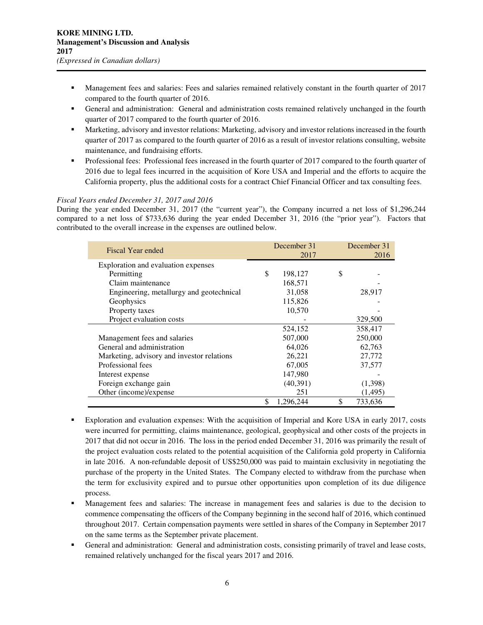- Management fees and salaries: Fees and salaries remained relatively constant in the fourth quarter of 2017 compared to the fourth quarter of 2016.
- General and administration: General and administration costs remained relatively unchanged in the fourth quarter of 2017 compared to the fourth quarter of 2016.
- **Marketing, advisory and investor relations: Marketing, advisory and investor relations increased in the fourth** quarter of 2017 as compared to the fourth quarter of 2016 as a result of investor relations consulting, website maintenance, and fundraising efforts.
- Professional fees: Professional fees increased in the fourth quarter of 2017 compared to the fourth quarter of 2016 due to legal fees incurred in the acquisition of Kore USA and Imperial and the efforts to acquire the California property, plus the additional costs for a contract Chief Financial Officer and tax consulting fees.

# *Fiscal Years ended December 31, 2017 and 2016*

During the year ended December 31, 2017 (the "current year"), the Company incurred a net loss of \$1,296,244 compared to a net loss of \$733,636 during the year ended December 31, 2016 (the "prior year"). Factors that contributed to the overall increase in the expenses are outlined below.

| Fiscal Year ended                          | December 31<br>December 31<br>2017 |               |  |
|--------------------------------------------|------------------------------------|---------------|--|
| Exploration and evaluation expenses        |                                    |               |  |
| Permitting                                 | \$<br>198,127                      | \$            |  |
| Claim maintenance                          | 168,571                            |               |  |
| Engineering, metallurgy and geotechnical   | 31,058                             | 28,917        |  |
| Geophysics                                 | 115,826                            |               |  |
| Property taxes                             | 10,570                             |               |  |
| Project evaluation costs                   |                                    | 329,500       |  |
|                                            | 524,152                            | 358,417       |  |
| Management fees and salaries               | 507,000                            | 250,000       |  |
| General and administration                 | 64,026                             | 62,763        |  |
| Marketing, advisory and investor relations | 26,221                             | 27,772        |  |
| Professional fees                          | 67,005                             | 37,577        |  |
| Interest expense                           | 147,980                            |               |  |
| Foreign exchange gain                      | (40,391)                           | (1,398)       |  |
| Other (income)/expense                     | 251                                | (1, 495)      |  |
|                                            | \$<br>1,296,244                    | \$<br>733,636 |  |

- Exploration and evaluation expenses: With the acquisition of Imperial and Kore USA in early 2017, costs were incurred for permitting, claims maintenance, geological, geophysical and other costs of the projects in 2017 that did not occur in 2016. The loss in the period ended December 31, 2016 was primarily the result of the project evaluation costs related to the potential acquisition of the California gold property in California in late 2016. A non-refundable deposit of US\$250,000 was paid to maintain exclusivity in negotiating the purchase of the property in the United States. The Company elected to withdraw from the purchase when the term for exclusivity expired and to pursue other opportunities upon completion of its due diligence process.
- Management fees and salaries: The increase in management fees and salaries is due to the decision to commence compensating the officers of the Company beginning in the second half of 2016, which continued throughout 2017. Certain compensation payments were settled in shares of the Company in September 2017 on the same terms as the September private placement.
- General and administration: General and administration costs, consisting primarily of travel and lease costs, remained relatively unchanged for the fiscal years 2017 and 2016.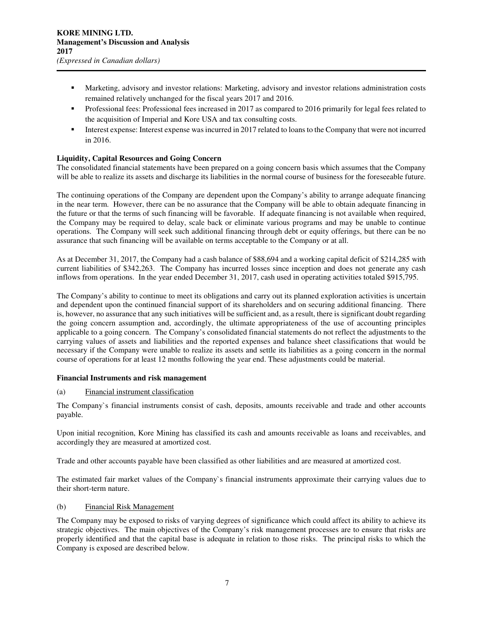- Marketing, advisory and investor relations: Marketing, advisory and investor relations administration costs remained relatively unchanged for the fiscal years 2017 and 2016.
- Professional fees: Professional fees increased in 2017 as compared to 2016 primarily for legal fees related to the acquisition of Imperial and Kore USA and tax consulting costs.
- Interest expense: Interest expense was incurred in 2017 related to loans to the Company that were not incurred in 2016.

# **Liquidity, Capital Resources and Going Concern**

The consolidated financial statements have been prepared on a going concern basis which assumes that the Company will be able to realize its assets and discharge its liabilities in the normal course of business for the foreseeable future.

The continuing operations of the Company are dependent upon the Company's ability to arrange adequate financing in the near term. However, there can be no assurance that the Company will be able to obtain adequate financing in the future or that the terms of such financing will be favorable. If adequate financing is not available when required, the Company may be required to delay, scale back or eliminate various programs and may be unable to continue operations. The Company will seek such additional financing through debt or equity offerings, but there can be no assurance that such financing will be available on terms acceptable to the Company or at all.

As at December 31, 2017, the Company had a cash balance of \$88,694 and a working capital deficit of \$214,285 with current liabilities of \$342,263. The Company has incurred losses since inception and does not generate any cash inflows from operations. In the year ended December 31, 2017, cash used in operating activities totaled \$915,795.

The Company's ability to continue to meet its obligations and carry out its planned exploration activities is uncertain and dependent upon the continued financial support of its shareholders and on securing additional financing. There is, however, no assurance that any such initiatives will be sufficient and, as a result, there is significant doubt regarding the going concern assumption and, accordingly, the ultimate appropriateness of the use of accounting principles applicable to a going concern. The Company's consolidated financial statements do not reflect the adjustments to the carrying values of assets and liabilities and the reported expenses and balance sheet classifications that would be necessary if the Company were unable to realize its assets and settle its liabilities as a going concern in the normal course of operations for at least 12 months following the year end. These adjustments could be material.

# **Financial Instruments and risk management**

## (a) Financial instrument classification

The Company`s financial instruments consist of cash, deposits, amounts receivable and trade and other accounts payable.

Upon initial recognition, Kore Mining has classified its cash and amounts receivable as loans and receivables, and accordingly they are measured at amortized cost.

Trade and other accounts payable have been classified as other liabilities and are measured at amortized cost.

The estimated fair market values of the Company`s financial instruments approximate their carrying values due to their short-term nature.

## (b) Financial Risk Management

The Company may be exposed to risks of varying degrees of significance which could affect its ability to achieve its strategic objectives. The main objectives of the Company's risk management processes are to ensure that risks are properly identified and that the capital base is adequate in relation to those risks. The principal risks to which the Company is exposed are described below.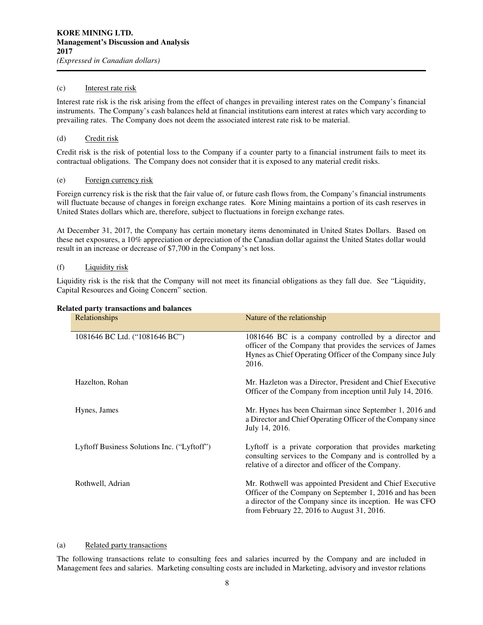## (c) Interest rate risk

Interest rate risk is the risk arising from the effect of changes in prevailing interest rates on the Company's financial instruments. The Company's cash balances held at financial institutions earn interest at rates which vary according to prevailing rates. The Company does not deem the associated interest rate risk to be material.

## (d) Credit risk

Credit risk is the risk of potential loss to the Company if a counter party to a financial instrument fails to meet its contractual obligations. The Company does not consider that it is exposed to any material credit risks.

## (e) Foreign currency risk

Foreign currency risk is the risk that the fair value of, or future cash flows from, the Company's financial instruments will fluctuate because of changes in foreign exchange rates. Kore Mining maintains a portion of its cash reserves in United States dollars which are, therefore, subject to fluctuations in foreign exchange rates.

At December 31, 2017, the Company has certain monetary items denominated in United States Dollars. Based on these net exposures, a 10% appreciation or depreciation of the Canadian dollar against the United States dollar would result in an increase or decrease of \$7,700 in the Company's net loss.

## (f) Liquidity risk

Liquidity risk is the risk that the Company will not meet its financial obligations as they fall due. See "Liquidity, Capital Resources and Going Concern" section.

#### **Related party transactions and balances**

| Relationships                               | Nature of the relationship                                                                                                                                                                                                      |
|---------------------------------------------|---------------------------------------------------------------------------------------------------------------------------------------------------------------------------------------------------------------------------------|
| 1081646 BC Ltd. ("1081646 BC")              | 1081646 BC is a company controlled by a director and<br>officer of the Company that provides the services of James<br>Hynes as Chief Operating Officer of the Company since July<br>2016.                                       |
| Hazelton, Rohan                             | Mr. Hazleton was a Director, President and Chief Executive<br>Officer of the Company from inception until July 14, 2016.                                                                                                        |
| Hynes, James                                | Mr. Hynes has been Chairman since September 1, 2016 and<br>a Director and Chief Operating Officer of the Company since<br>July 14, 2016.                                                                                        |
| Lyftoff Business Solutions Inc. ("Lyftoff") | Lyftoff is a private corporation that provides marketing<br>consulting services to the Company and is controlled by a<br>relative of a director and officer of the Company.                                                     |
| Rothwell, Adrian                            | Mr. Rothwell was appointed President and Chief Executive<br>Officer of the Company on September 1, 2016 and has been<br>a director of the Company since its inception. He was CFO<br>from February 22, 2016 to August 31, 2016. |

#### (a) Related party transactions

The following transactions relate to consulting fees and salaries incurred by the Company and are included in Management fees and salaries. Marketing consulting costs are included in Marketing, advisory and investor relations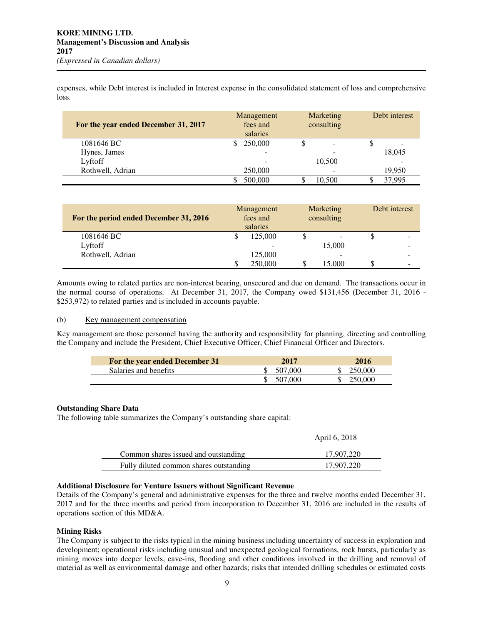expenses, while Debt interest is included in Interest expense in the consolidated statement of loss and comprehensive loss.

| For the year ended December 31, 2017 | Management<br>fees and<br>salaries | Marketing<br>consulting | Debt interest |
|--------------------------------------|------------------------------------|-------------------------|---------------|
| 1081646 BC                           | 250,000                            |                         |               |
| Hynes, James                         | $\overline{\phantom{0}}$           |                         | 18,045        |
| Lyftoff                              |                                    | 10,500                  |               |
| Rothwell, Adrian                     | 250,000                            |                         | 19.950        |
|                                      | 500,000                            | 10.500                  | 37.995        |

| For the period ended December 31, 2016 | Management<br>fees and<br>salaries |         |  |        | Marketing<br>consulting |  | Debt interest |
|----------------------------------------|------------------------------------|---------|--|--------|-------------------------|--|---------------|
| 1081646 BC                             |                                    | 125,000 |  | -      |                         |  |               |
| Lyftoff                                |                                    |         |  | 15,000 | -                       |  |               |
| Rothwell, Adrian                       |                                    | 125,000 |  | ۰      | ۰                       |  |               |
|                                        |                                    | 250,000 |  | 15,000 | -                       |  |               |

Amounts owing to related parties are non-interest bearing, unsecured and due on demand. The transactions occur in the normal course of operations. At December 31, 2017, the Company owed \$131,456 (December 31, 2016 - \$253,972) to related parties and is included in accounts payable.

#### (b) Key management compensation

Key management are those personnel having the authority and responsibility for planning, directing and controlling the Company and include the President, Chief Executive Officer, Chief Financial Officer and Directors.

| For the year ended December 31 | 2017    | 2016    |
|--------------------------------|---------|---------|
| Salaries and benefits          | 507.000 | 250,000 |
|                                | 507.000 | 250,000 |

# **Outstanding Share Data**

The following table summarizes the Company's outstanding share capital:

|                                         | April 6, 2018 |
|-----------------------------------------|---------------|
| Common shares issued and outstanding    | 17.907.220    |
| Fully diluted common shares outstanding | 17.907.220    |

# **Additional Disclosure for Venture Issuers without Significant Revenue**

Details of the Company's general and administrative expenses for the three and twelve months ended December 31, 2017 and for the three months and period from incorporation to December 31, 2016 are included in the results of operations section of this MD&A.

# **Mining Risks**

The Company is subject to the risks typical in the mining business including uncertainty of success in exploration and development; operational risks including unusual and unexpected geological formations, rock bursts, particularly as mining moves into deeper levels, cave-ins, flooding and other conditions involved in the drilling and removal of material as well as environmental damage and other hazards; risks that intended drilling schedules or estimated costs